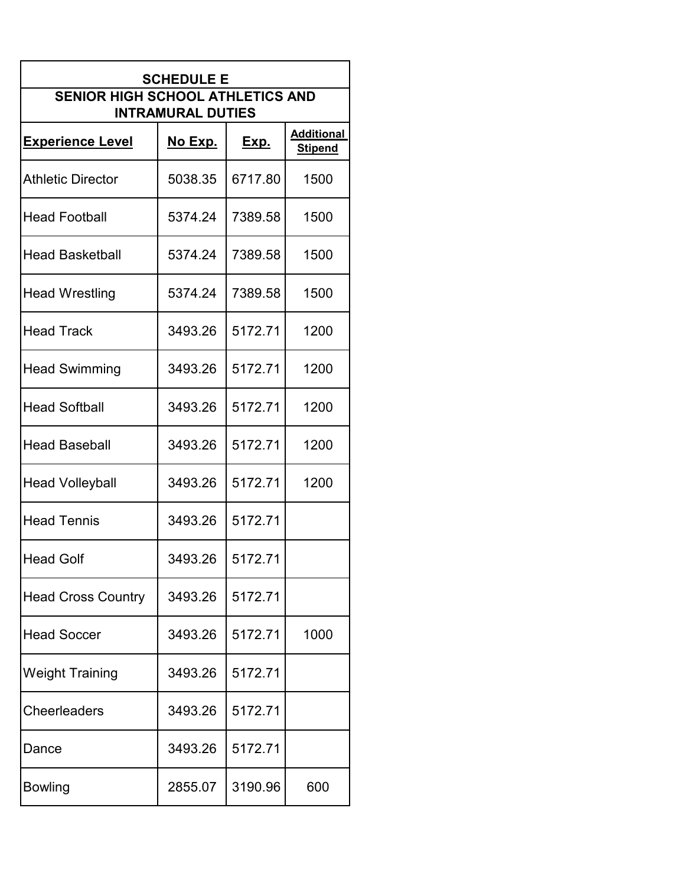| <b>SCHEDULE E</b>                                                   |                |             |                                     |  |  |
|---------------------------------------------------------------------|----------------|-------------|-------------------------------------|--|--|
| <b>SENIOR HIGH SCHOOL ATHLETICS AND</b><br><b>INTRAMURAL DUTIES</b> |                |             |                                     |  |  |
| <b>Experience Level</b>                                             | <u>No Exp.</u> | <u>Exp.</u> | <b>Additional</b><br><b>Stipend</b> |  |  |
| <b>Athletic Director</b>                                            | 5038.35        | 6717.80     | 1500                                |  |  |
| <b>Head Football</b>                                                | 5374.24        | 7389.58     | 1500                                |  |  |
| <b>Head Basketball</b>                                              | 5374.24        | 7389.58     | 1500                                |  |  |
| <b>Head Wrestling</b>                                               | 5374.24        | 7389.58     | 1500                                |  |  |
| <b>Head Track</b>                                                   | 3493.26        | 5172.71     | 1200                                |  |  |
| <b>Head Swimming</b>                                                | 3493.26        | 5172.71     | 1200                                |  |  |
| <b>Head Softball</b>                                                | 3493.26        | 5172.71     | 1200                                |  |  |
| <b>Head Baseball</b>                                                | 3493.26        | 5172.71     | 1200                                |  |  |
| <b>Head Volleyball</b>                                              | 3493.26        | 5172.71     | 1200                                |  |  |
| <b>Head Tennis</b>                                                  | 3493.26        | 5172.71     |                                     |  |  |
| <b>Head Golf</b>                                                    | 3493.26        | 5172.71     |                                     |  |  |
| <b>Head Cross Country</b>                                           | 3493.26        | 5172.71     |                                     |  |  |
| <b>Head Soccer</b>                                                  | 3493.26        | 5172.71     | 1000                                |  |  |
| <b>Weight Training</b>                                              | 3493.26        | 5172.71     |                                     |  |  |
| <b>Cheerleaders</b>                                                 | 3493.26        | 5172.71     |                                     |  |  |
| Dance                                                               | 3493.26        | 5172.71     |                                     |  |  |
| <b>Bowling</b>                                                      | 2855.07        | 3190.96     | 600                                 |  |  |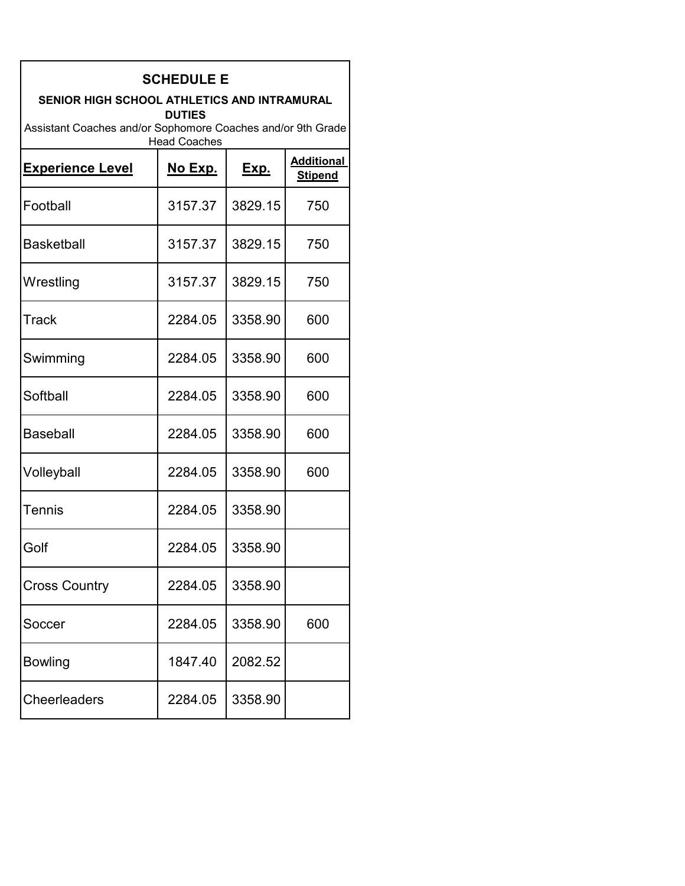| <b>SCHEDULE E</b>                                                                  |                |             |                                     |  |  |
|------------------------------------------------------------------------------------|----------------|-------------|-------------------------------------|--|--|
| SENIOR HIGH SCHOOL ATHLETICS AND INTRAMURAL<br><b>DUTIES</b>                       |                |             |                                     |  |  |
| Assistant Coaches and/or Sophomore Coaches and/or 9th Grade<br><b>Head Coaches</b> |                |             |                                     |  |  |
| <b>Experience Level</b>                                                            | <u>No Exp.</u> | <u>Exp.</u> | <b>Additional</b><br><b>Stipend</b> |  |  |
| Football                                                                           | 3157.37        | 3829.15     | 750                                 |  |  |
| <b>Basketball</b>                                                                  | 3157.37        | 3829.15     | 750                                 |  |  |
| Wrestling                                                                          | 3157.37        | 3829.15     | 750                                 |  |  |
| Track                                                                              | 2284.05        | 3358.90     | 600                                 |  |  |
| Swimming                                                                           | 2284.05        | 3358.90     | 600                                 |  |  |
| Softball                                                                           | 2284.05        | 3358.90     | 600                                 |  |  |
| <b>Baseball</b>                                                                    | 2284.05        | 3358.90     | 600                                 |  |  |
| Volleyball                                                                         | 2284.05        | 3358.90     | 600                                 |  |  |
| Tennis                                                                             | 2284.05        | 3358.90     |                                     |  |  |
| Golf                                                                               | 2284.05        | 3358.90     |                                     |  |  |
| <b>Cross Country</b>                                                               | 2284.05        | 3358.90     |                                     |  |  |
| Soccer                                                                             | 2284.05        | 3358.90     | 600                                 |  |  |
| <b>Bowling</b>                                                                     | 1847.40        | 2082.52     |                                     |  |  |
| <b>Cheerleaders</b>                                                                | 2284.05        | 3358.90     |                                     |  |  |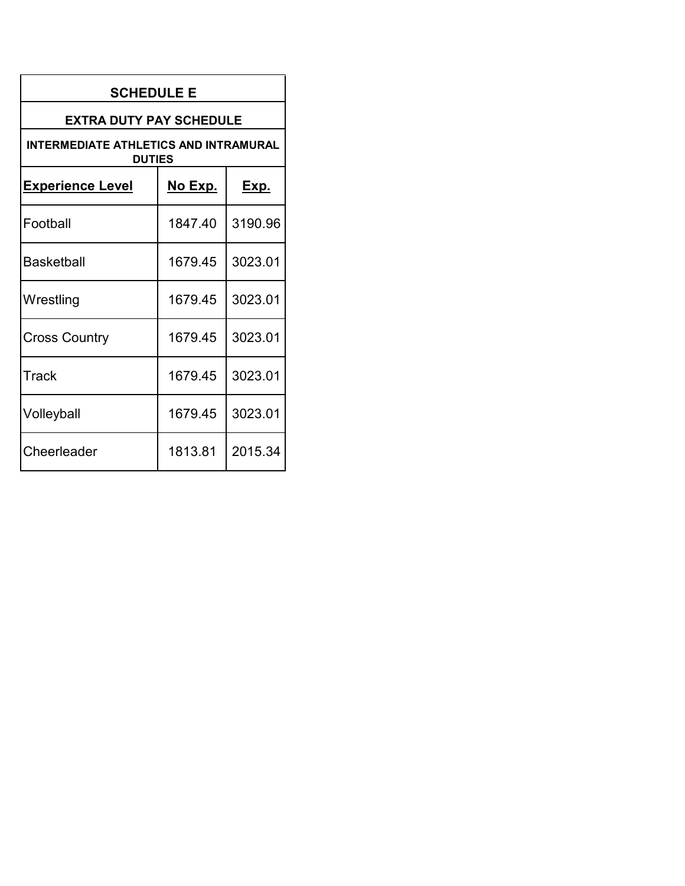| <b>SCHEDULE E</b>                                      |         |             |  |  |  |
|--------------------------------------------------------|---------|-------------|--|--|--|
| <b>EXTRA DUTY PAY SCHEDULE</b>                         |         |             |  |  |  |
| INTERMEDIATE ATHLETICS AND INTRAMURAL<br><b>DUTIES</b> |         |             |  |  |  |
| <b>Experience Level</b>                                | No Exp. | <u>Exp.</u> |  |  |  |
| Football                                               | 1847.40 | 3190.96     |  |  |  |
| Basketball                                             | 1679.45 | 3023.01     |  |  |  |
| Wrestling                                              | 1679.45 | 3023.01     |  |  |  |
| <b>Cross Country</b>                                   | 1679.45 | 3023.01     |  |  |  |
| Track                                                  | 1679.45 | 3023.01     |  |  |  |
| Volleyball                                             | 1679.45 | 3023.01     |  |  |  |
| Cheerleader                                            | 1813.81 | 2015.34     |  |  |  |